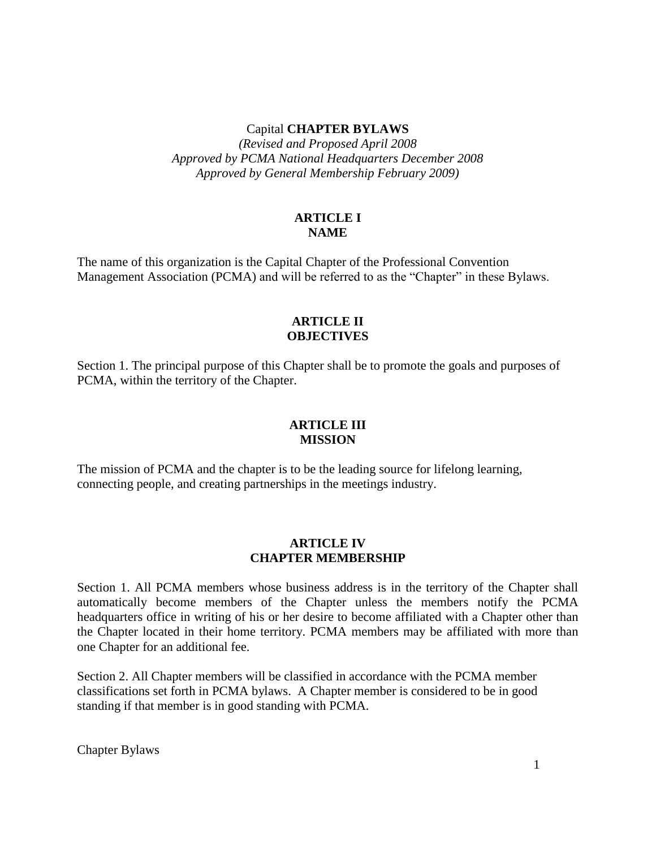#### Capital **CHAPTER BYLAWS**

*(Revised and Proposed April 2008 Approved by PCMA National Headquarters December 2008 Approved by General Membership February 2009)*

## **ARTICLE I NAME**

The name of this organization is the Capital Chapter of the Professional Convention Management Association (PCMA) and will be referred to as the "Chapter" in these Bylaws.

## **ARTICLE II OBJECTIVES**

Section 1. The principal purpose of this Chapter shall be to promote the goals and purposes of PCMA, within the territory of the Chapter.

### **ARTICLE III MISSION**

The mission of PCMA and the chapter is to be the leading source for lifelong learning, connecting people, and creating partnerships in the meetings industry.

### **ARTICLE IV CHAPTER MEMBERSHIP**

Section 1. All PCMA members whose business address is in the territory of the Chapter shall automatically become members of the Chapter unless the members notify the PCMA headquarters office in writing of his or her desire to become affiliated with a Chapter other than the Chapter located in their home territory. PCMA members may be affiliated with more than one Chapter for an additional fee.

Section 2. All Chapter members will be classified in accordance with the PCMA member classifications set forth in PCMA bylaws. A Chapter member is considered to be in good standing if that member is in good standing with PCMA.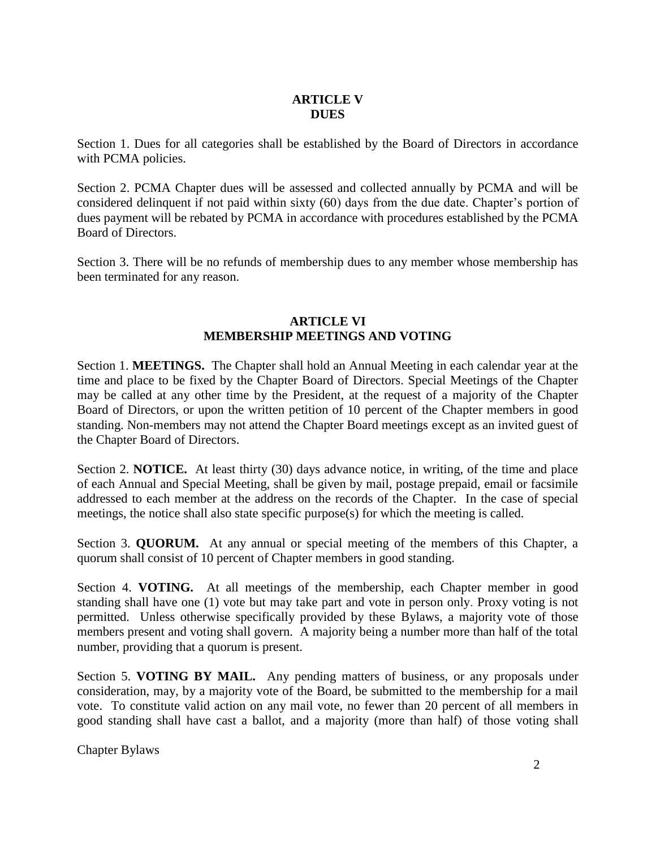# **ARTICLE V DUES**

Section 1. Dues for all categories shall be established by the Board of Directors in accordance with PCMA policies.

Section 2. PCMA Chapter dues will be assessed and collected annually by PCMA and will be considered delinquent if not paid within sixty (60) days from the due date. Chapter's portion of dues payment will be rebated by PCMA in accordance with procedures established by the PCMA Board of Directors.

Section 3. There will be no refunds of membership dues to any member whose membership has been terminated for any reason.

## **ARTICLE VI MEMBERSHIP MEETINGS AND VOTING**

Section 1. **MEETINGS.** The Chapter shall hold an Annual Meeting in each calendar year at the time and place to be fixed by the Chapter Board of Directors. Special Meetings of the Chapter may be called at any other time by the President, at the request of a majority of the Chapter Board of Directors, or upon the written petition of 10 percent of the Chapter members in good standing. Non-members may not attend the Chapter Board meetings except as an invited guest of the Chapter Board of Directors.

Section 2. **NOTICE.** At least thirty (30) days advance notice, in writing, of the time and place of each Annual and Special Meeting, shall be given by mail, postage prepaid, email or facsimile addressed to each member at the address on the records of the Chapter. In the case of special meetings, the notice shall also state specific purpose(s) for which the meeting is called.

Section 3. **QUORUM.** At any annual or special meeting of the members of this Chapter, a quorum shall consist of 10 percent of Chapter members in good standing.

Section 4. **VOTING.** At all meetings of the membership, each Chapter member in good standing shall have one (1) vote but may take part and vote in person only. Proxy voting is not permitted. Unless otherwise specifically provided by these Bylaws, a majority vote of those members present and voting shall govern. A majority being a number more than half of the total number, providing that a quorum is present.

Section 5. **VOTING BY MAIL.** Any pending matters of business, or any proposals under consideration, may, by a majority vote of the Board, be submitted to the membership for a mail vote. To constitute valid action on any mail vote, no fewer than 20 percent of all members in good standing shall have cast a ballot, and a majority (more than half) of those voting shall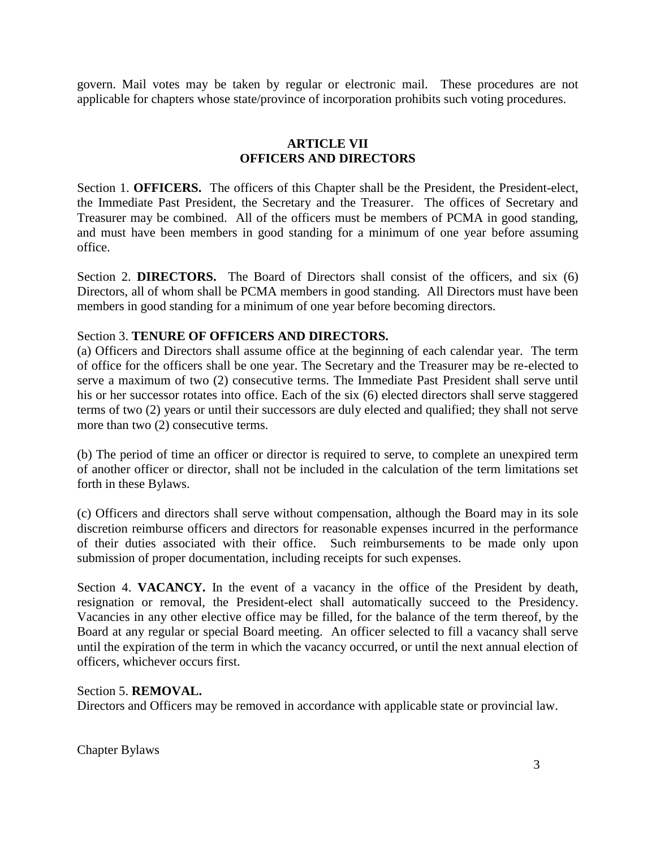govern. Mail votes may be taken by regular or electronic mail. These procedures are not applicable for chapters whose state/province of incorporation prohibits such voting procedures.

# **ARTICLE VII OFFICERS AND DIRECTORS**

Section 1. **OFFICERS.** The officers of this Chapter shall be the President, the President-elect, the Immediate Past President, the Secretary and the Treasurer. The offices of Secretary and Treasurer may be combined. All of the officers must be members of PCMA in good standing, and must have been members in good standing for a minimum of one year before assuming office.

Section 2. **DIRECTORS.** The Board of Directors shall consist of the officers, and six (6) Directors, all of whom shall be PCMA members in good standing. All Directors must have been members in good standing for a minimum of one year before becoming directors.

## Section 3. **TENURE OF OFFICERS AND DIRECTORS.**

(a) Officers and Directors shall assume office at the beginning of each calendar year. The term of office for the officers shall be one year. The Secretary and the Treasurer may be re-elected to serve a maximum of two (2) consecutive terms. The Immediate Past President shall serve until his or her successor rotates into office. Each of the six (6) elected directors shall serve staggered terms of two (2) years or until their successors are duly elected and qualified; they shall not serve more than two  $(2)$  consecutive terms.

(b) The period of time an officer or director is required to serve, to complete an unexpired term of another officer or director, shall not be included in the calculation of the term limitations set forth in these Bylaws.

(c) Officers and directors shall serve without compensation, although the Board may in its sole discretion reimburse officers and directors for reasonable expenses incurred in the performance of their duties associated with their office. Such reimbursements to be made only upon submission of proper documentation, including receipts for such expenses.

Section 4. **VACANCY.** In the event of a vacancy in the office of the President by death, resignation or removal, the President-elect shall automatically succeed to the Presidency. Vacancies in any other elective office may be filled, for the balance of the term thereof, by the Board at any regular or special Board meeting. An officer selected to fill a vacancy shall serve until the expiration of the term in which the vacancy occurred, or until the next annual election of officers, whichever occurs first.

### Section 5. **REMOVAL.**

Directors and Officers may be removed in accordance with applicable state or provincial law.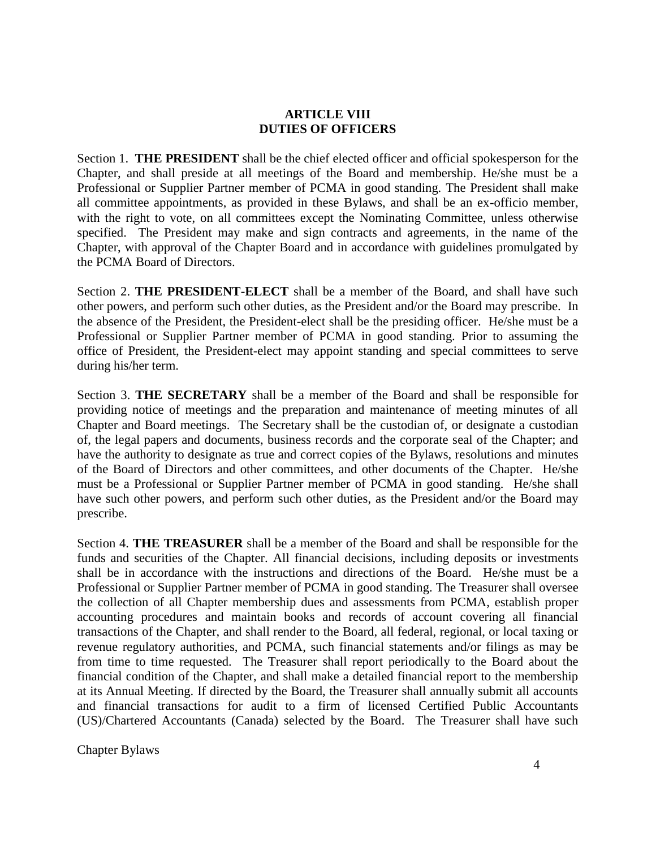## **ARTICLE VIII DUTIES OF OFFICERS**

Section 1. **THE PRESIDENT** shall be the chief elected officer and official spokesperson for the Chapter, and shall preside at all meetings of the Board and membership. He/she must be a Professional or Supplier Partner member of PCMA in good standing. The President shall make all committee appointments, as provided in these Bylaws, and shall be an ex-officio member, with the right to vote, on all committees except the Nominating Committee, unless otherwise specified. The President may make and sign contracts and agreements, in the name of the Chapter, with approval of the Chapter Board and in accordance with guidelines promulgated by the PCMA Board of Directors.

Section 2. **THE PRESIDENT-ELECT** shall be a member of the Board, and shall have such other powers, and perform such other duties, as the President and/or the Board may prescribe. In the absence of the President, the President-elect shall be the presiding officer. He/she must be a Professional or Supplier Partner member of PCMA in good standing. Prior to assuming the office of President, the President-elect may appoint standing and special committees to serve during his/her term.

Section 3. **THE SECRETARY** shall be a member of the Board and shall be responsible for providing notice of meetings and the preparation and maintenance of meeting minutes of all Chapter and Board meetings. The Secretary shall be the custodian of, or designate a custodian of, the legal papers and documents, business records and the corporate seal of the Chapter; and have the authority to designate as true and correct copies of the Bylaws, resolutions and minutes of the Board of Directors and other committees, and other documents of the Chapter. He/she must be a Professional or Supplier Partner member of PCMA in good standing. He/she shall have such other powers, and perform such other duties, as the President and/or the Board may prescribe.

Section 4. **THE TREASURER** shall be a member of the Board and shall be responsible for the funds and securities of the Chapter. All financial decisions, including deposits or investments shall be in accordance with the instructions and directions of the Board. He/she must be a Professional or Supplier Partner member of PCMA in good standing. The Treasurer shall oversee the collection of all Chapter membership dues and assessments from PCMA, establish proper accounting procedures and maintain books and records of account covering all financial transactions of the Chapter, and shall render to the Board, all federal, regional, or local taxing or revenue regulatory authorities, and PCMA, such financial statements and/or filings as may be from time to time requested. The Treasurer shall report periodically to the Board about the financial condition of the Chapter, and shall make a detailed financial report to the membership at its Annual Meeting. If directed by the Board, the Treasurer shall annually submit all accounts and financial transactions for audit to a firm of licensed Certified Public Accountants (US)/Chartered Accountants (Canada) selected by the Board. The Treasurer shall have such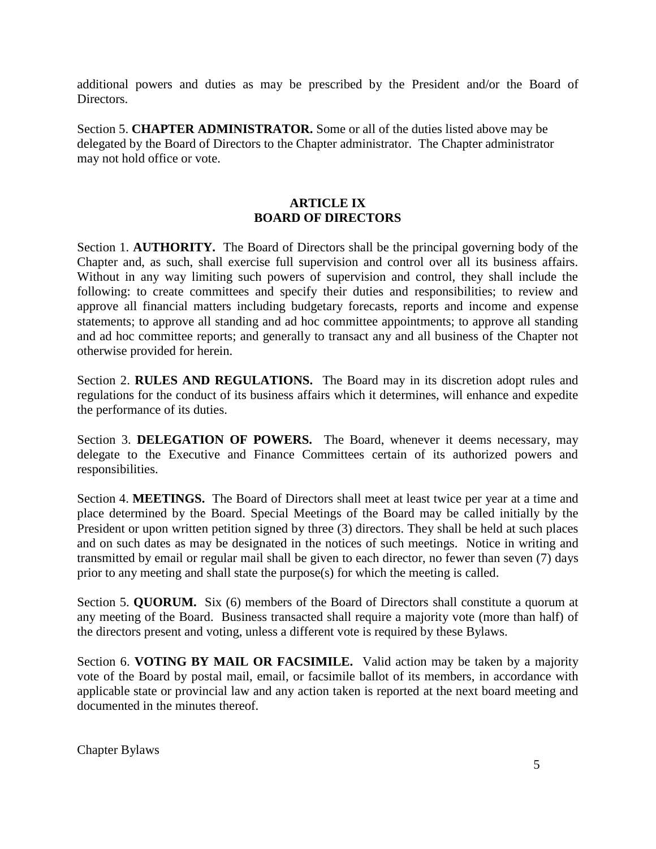additional powers and duties as may be prescribed by the President and/or the Board of Directors.

Section 5. **CHAPTER ADMINISTRATOR.** Some or all of the duties listed above may be delegated by the Board of Directors to the Chapter administrator. The Chapter administrator may not hold office or vote.

## **ARTICLE IX BOARD OF DIRECTORS**

Section 1. **AUTHORITY.** The Board of Directors shall be the principal governing body of the Chapter and, as such, shall exercise full supervision and control over all its business affairs. Without in any way limiting such powers of supervision and control, they shall include the following: to create committees and specify their duties and responsibilities; to review and approve all financial matters including budgetary forecasts, reports and income and expense statements; to approve all standing and ad hoc committee appointments; to approve all standing and ad hoc committee reports; and generally to transact any and all business of the Chapter not otherwise provided for herein.

Section 2. **RULES AND REGULATIONS.** The Board may in its discretion adopt rules and regulations for the conduct of its business affairs which it determines, will enhance and expedite the performance of its duties.

Section 3. **DELEGATION OF POWERS.** The Board, whenever it deems necessary, may delegate to the Executive and Finance Committees certain of its authorized powers and responsibilities.

Section 4. **MEETINGS.** The Board of Directors shall meet at least twice per year at a time and place determined by the Board. Special Meetings of the Board may be called initially by the President or upon written petition signed by three (3) directors. They shall be held at such places and on such dates as may be designated in the notices of such meetings. Notice in writing and transmitted by email or regular mail shall be given to each director, no fewer than seven (7) days prior to any meeting and shall state the purpose(s) for which the meeting is called.

Section 5. **QUORUM.** Six (6) members of the Board of Directors shall constitute a quorum at any meeting of the Board. Business transacted shall require a majority vote (more than half) of the directors present and voting, unless a different vote is required by these Bylaws.

Section 6. **VOTING BY MAIL OR FACSIMILE.** Valid action may be taken by a majority vote of the Board by postal mail, email, or facsimile ballot of its members, in accordance with applicable state or provincial law and any action taken is reported at the next board meeting and documented in the minutes thereof.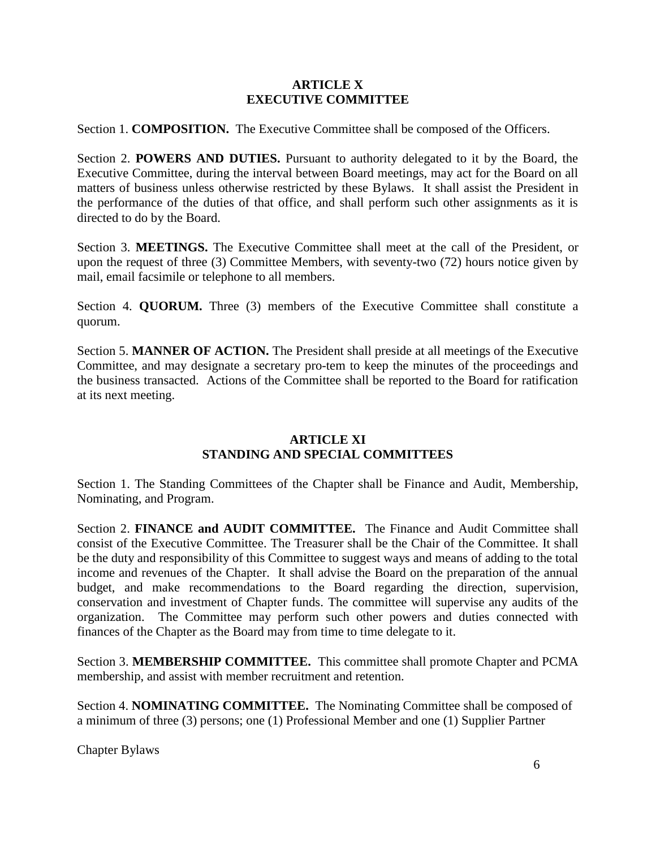## **ARTICLE X EXECUTIVE COMMITTEE**

Section 1. **COMPOSITION.** The Executive Committee shall be composed of the Officers.

Section 2. **POWERS AND DUTIES.** Pursuant to authority delegated to it by the Board, the Executive Committee, during the interval between Board meetings, may act for the Board on all matters of business unless otherwise restricted by these Bylaws. It shall assist the President in the performance of the duties of that office, and shall perform such other assignments as it is directed to do by the Board.

Section 3. **MEETINGS.** The Executive Committee shall meet at the call of the President, or upon the request of three (3) Committee Members, with seventy-two (72) hours notice given by mail, email facsimile or telephone to all members.

Section 4. **QUORUM.** Three (3) members of the Executive Committee shall constitute a quorum.

Section 5. **MANNER OF ACTION.** The President shall preside at all meetings of the Executive Committee, and may designate a secretary pro-tem to keep the minutes of the proceedings and the business transacted. Actions of the Committee shall be reported to the Board for ratification at its next meeting.

# **ARTICLE XI STANDING AND SPECIAL COMMITTEES**

Section 1. The Standing Committees of the Chapter shall be Finance and Audit, Membership, Nominating, and Program.

Section 2. **FINANCE and AUDIT COMMITTEE.** The Finance and Audit Committee shall consist of the Executive Committee. The Treasurer shall be the Chair of the Committee. It shall be the duty and responsibility of this Committee to suggest ways and means of adding to the total income and revenues of the Chapter. It shall advise the Board on the preparation of the annual budget, and make recommendations to the Board regarding the direction, supervision, conservation and investment of Chapter funds. The committee will supervise any audits of the organization. The Committee may perform such other powers and duties connected with finances of the Chapter as the Board may from time to time delegate to it.

Section 3. **MEMBERSHIP COMMITTEE.** This committee shall promote Chapter and PCMA membership, and assist with member recruitment and retention.

Section 4. **NOMINATING COMMITTEE.** The Nominating Committee shall be composed of a minimum of three (3) persons; one (1) Professional Member and one (1) Supplier Partner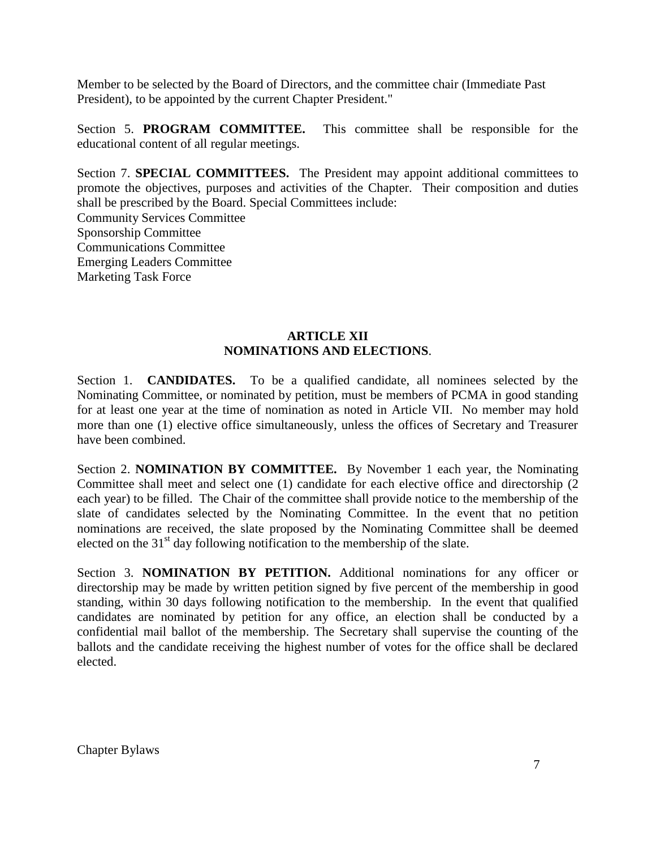Member to be selected by the Board of Directors, and the committee chair (Immediate Past President), to be appointed by the current Chapter President."

Section 5. **PROGRAM COMMITTEE.** This committee shall be responsible for the educational content of all regular meetings.

Section 7. **SPECIAL COMMITTEES.** The President may appoint additional committees to promote the objectives, purposes and activities of the Chapter. Their composition and duties shall be prescribed by the Board. Special Committees include:

Community Services Committee Sponsorship Committee Communications Committee Emerging Leaders Committee Marketing Task Force

# **ARTICLE XII NOMINATIONS AND ELECTIONS**.

Section 1. **CANDIDATES.** To be a qualified candidate, all nominees selected by the Nominating Committee, or nominated by petition, must be members of PCMA in good standing for at least one year at the time of nomination as noted in Article VII. No member may hold more than one (1) elective office simultaneously, unless the offices of Secretary and Treasurer have been combined.

Section 2. **NOMINATION BY COMMITTEE.** By November 1 each year, the Nominating Committee shall meet and select one (1) candidate for each elective office and directorship (2 each year) to be filled. The Chair of the committee shall provide notice to the membership of the slate of candidates selected by the Nominating Committee. In the event that no petition nominations are received, the slate proposed by the Nominating Committee shall be deemed elected on the  $31<sup>st</sup>$  day following notification to the membership of the slate.

Section 3. **NOMINATION BY PETITION.** Additional nominations for any officer or directorship may be made by written petition signed by five percent of the membership in good standing, within 30 days following notification to the membership. In the event that qualified candidates are nominated by petition for any office, an election shall be conducted by a confidential mail ballot of the membership. The Secretary shall supervise the counting of the ballots and the candidate receiving the highest number of votes for the office shall be declared elected.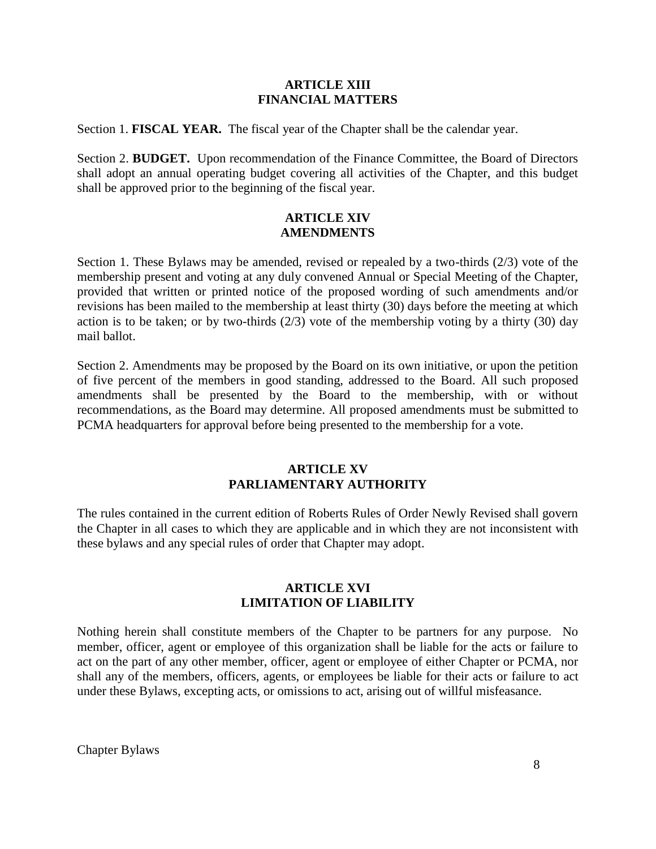#### **ARTICLE XIII FINANCIAL MATTERS**

Section 1. **FISCAL YEAR.** The fiscal year of the Chapter shall be the calendar year.

Section 2. **BUDGET.** Upon recommendation of the Finance Committee, the Board of Directors shall adopt an annual operating budget covering all activities of the Chapter, and this budget shall be approved prior to the beginning of the fiscal year.

## **ARTICLE XIV AMENDMENTS**

Section 1. These Bylaws may be amended, revised or repealed by a two-thirds (2/3) vote of the membership present and voting at any duly convened Annual or Special Meeting of the Chapter, provided that written or printed notice of the proposed wording of such amendments and/or revisions has been mailed to the membership at least thirty (30) days before the meeting at which action is to be taken; or by two-thirds  $(2/3)$  vote of the membership voting by a thirty  $(30)$  day mail ballot.

Section 2. Amendments may be proposed by the Board on its own initiative, or upon the petition of five percent of the members in good standing, addressed to the Board. All such proposed amendments shall be presented by the Board to the membership, with or without recommendations, as the Board may determine. All proposed amendments must be submitted to PCMA headquarters for approval before being presented to the membership for a vote.

# **ARTICLE XV PARLIAMENTARY AUTHORITY**

The rules contained in the current edition of Roberts Rules of Order Newly Revised shall govern the Chapter in all cases to which they are applicable and in which they are not inconsistent with these bylaws and any special rules of order that Chapter may adopt.

## **ARTICLE XVI LIMITATION OF LIABILITY**

Nothing herein shall constitute members of the Chapter to be partners for any purpose. No member, officer, agent or employee of this organization shall be liable for the acts or failure to act on the part of any other member, officer, agent or employee of either Chapter or PCMA, nor shall any of the members, officers, agents, or employees be liable for their acts or failure to act under these Bylaws, excepting acts, or omissions to act, arising out of willful misfeasance.